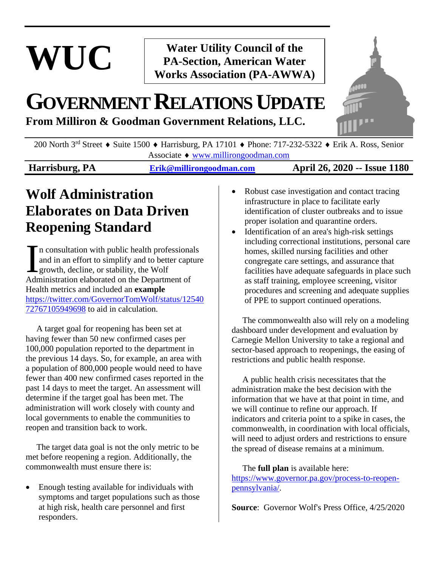# **WUC**

### **Water Utility Council of the PA-Section, American Water Works Association (PA-AWWA)**

## **GOVERNMENTRELATIONSUPDATE**

**From Milliron & Goodman Government Relations, LLC.**



200 North 3<sup>rd</sup> Street  $\triangle$  Suite 1500  $\triangle$  Harrisburg, PA 17101  $\triangle$  Phone: 717-232-5322  $\triangle$  Erik A. Ross, Senior Associate [www.millirongoodman.com](http://www.millirongoodman.com/)

### **Harrisburg, PA [Erik@millirongoodman.com](mailto:Erik@millirongoodman.com) April 26, 2020 -- Issue 1180**

### **Wolf Administration Elaborates on Data Driven Reopening Standard**

n consultation with public health professionals and in an effort to simplify and to better capture growth, decline, or stability, the Wolf Administration elaborated on the Department of Health metrics and included an **example** [https://twitter.com/GovernorTomWolf/status/12540](https://twitter.com/GovernorTomWolf/status/1254072767105949698) [72767105949698](https://twitter.com/GovernorTomWolf/status/1254072767105949698) to aid in calculation. I

 A target goal for reopening has been set at having fewer than 50 new confirmed cases per 100,000 population reported to the department in the previous 14 days. So, for example, an area with a population of 800,000 people would need to have fewer than 400 new confirmed cases reported in the past 14 days to meet the target. An assessment will determine if the target goal has been met. The administration will work closely with county and local governments to enable the communities to reopen and transition back to work.

 The target data goal is not the only metric to be met before reopening a region. Additionally, the commonwealth must ensure there is:

• Enough testing available for individuals with symptoms and target populations such as those at high risk, health care personnel and first responders.

- Robust case investigation and contact tracing infrastructure in place to facilitate early identification of cluster outbreaks and to issue proper isolation and quarantine orders.
- Identification of an area's high-risk settings including correctional institutions, personal care homes, skilled nursing facilities and other congregate care settings, and assurance that facilities have adequate safeguards in place such as staff training, employee screening, visitor procedures and screening and adequate supplies of PPE to support continued operations.

 The commonwealth also will rely on a modeling dashboard under development and evaluation by Carnegie Mellon University to take a regional and sector-based approach to reopenings, the easing of restrictions and public health response.

 A public health crisis necessitates that the administration make the best decision with the information that we have at that point in time, and we will continue to refine our approach. If indicators and criteria point to a spike in cases, the commonwealth, in coordination with local officials, will need to adjust orders and restrictions to ensure the spread of disease remains at a minimum.

 The **full plan** is available here: [https://www.governor.pa.gov/process-to-reopen](https://www.governor.pa.gov/process-to-reopen-pennsylvania/)[pennsylvania/.](https://www.governor.pa.gov/process-to-reopen-pennsylvania/)

**Source**: Governor Wolf's Press Office, 4/25/2020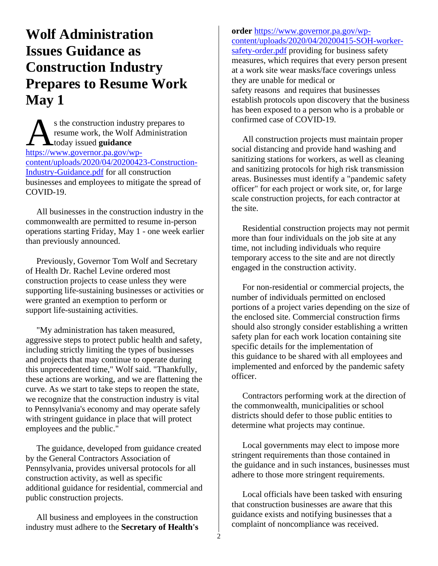### **Wolf Administration Issues Guidance as Construction Industry Prepares to Resume Work May 1**

s the construction industry prepares to resume work, the Wolf Administration  $\Delta$  today issued **guidance** s the construction industry<br>resume work, the Wolf Advertised guidance<br>[https://www.governor.pa.gov/wp](https://www.governor.pa.gov/wp-content/uploads/2020/04/20200423-Construction-Industry-Guidance.pdf)[content/uploads/2020/04/20200423-Construction-](https://www.governor.pa.gov/wp-content/uploads/2020/04/20200423-Construction-Industry-Guidance.pdf)[Industry-Guidance.pdf](https://www.governor.pa.gov/wp-content/uploads/2020/04/20200423-Construction-Industry-Guidance.pdf) for all construction businesses and employees to mitigate the spread of COVID-19.

 All businesses in the construction industry in the commonwealth are permitted to resume in-person operations starting Friday, May 1 - one week earlier than previously announced.

 Previously, Governor Tom Wolf and Secretary of Health Dr. Rachel Levine ordered most construction projects to cease unless they were supporting life-sustaining businesses or activities or were granted an exemption to perform or support life-sustaining activities.

 "My administration has taken measured, aggressive steps to protect public health and safety, including strictly limiting the types of businesses and projects that may continue to operate during this unprecedented time," Wolf said. "Thankfully, these actions are working, and we are flattening the curve. As we start to take steps to reopen the state, we recognize that the construction industry is vital to Pennsylvania's economy and may operate safely with stringent guidance in place that will protect employees and the public."

 The guidance, developed from guidance created by the General Contractors Association of Pennsylvania, provides universal protocols for all construction activity, as well as specific additional guidance for residential, commercial and public construction projects.

 All business and employees in the construction industry must adhere to the **Secretary of Health's** 

#### **order** [https://www.governor.pa.gov/wp](https://www.governor.pa.gov/wp-content/uploads/2020/04/20200415-SOH-worker-safety-order.pdf)[content/uploads/2020/04/20200415-SOH-worker](https://www.governor.pa.gov/wp-content/uploads/2020/04/20200415-SOH-worker-safety-order.pdf)[safety-order.pdf](https://www.governor.pa.gov/wp-content/uploads/2020/04/20200415-SOH-worker-safety-order.pdf) providing for business safety measures, which requires that every person present at a work site wear masks/face coverings unless they are unable for medical or safety reasons and requires that businesses establish protocols upon discovery that the business has been exposed to a person who is a probable or

 All construction projects must maintain proper social distancing and provide hand washing and sanitizing stations for workers, as well as cleaning and sanitizing protocols for high risk transmission areas. Businesses must identify a "pandemic safety officer" for each project or work site, or, for large scale construction projects, for each contractor at the site.

confirmed case of COVID-19.

 Residential construction projects may not permit more than four individuals on the job site at any time, not including individuals who require temporary access to the site and are not directly engaged in the construction activity.

 For non-residential or commercial projects, the number of individuals permitted on enclosed portions of a project varies depending on the size of the enclosed site. Commercial construction firms should also strongly consider establishing a written safety plan for each work location containing site specific details for the implementation of this guidance to be shared with all employees and implemented and enforced by the pandemic safety officer.

 Contractors performing work at the direction of the commonwealth, municipalities or school districts should defer to those public entities to determine what projects may continue.

 Local governments may elect to impose more stringent requirements than those contained in the guidance and in such instances, businesses must adhere to those more stringent requirements.

 Local officials have been tasked with ensuring that construction businesses are aware that this guidance exists and notifying businesses that a complaint of noncompliance was received.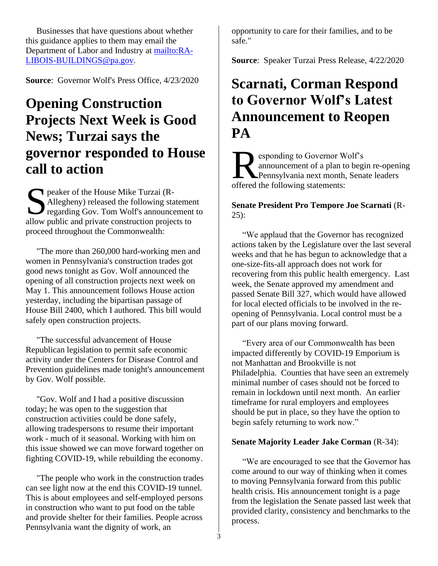Businesses that have questions about whether this guidance applies to them may email the Department of Labor and Industry at [mailto:RA-](mailto:RA-LIBOIS-BUILDINGS@pa.gov)[LIBOIS-BUILDINGS@pa.gov.](mailto:RA-LIBOIS-BUILDINGS@pa.gov)

**Source:** Governor Wolf's Press Office,  $4/23/2020$ 

### **Opening Construction Projects Next Week is Good News; Turzai says the governor responded to House call to action**

peaker of the House Mike Turzai (R-<br>Allegheny) released the following sta<br>regarding Gov. Tom Wolf's announce Allegheny) released the following statement regarding Gov. Tom Wolf's announcement to allow public and private construction projects to proceed throughout the Commonwealth:

 "The more than 260,000 hard-working men and women in Pennsylvania's construction trades got good news tonight as Gov. Wolf announced the opening of all construction projects next week on May 1. This announcement follows House action yesterday, including the bipartisan passage of House Bill 2400, which I authored. This bill would safely open construction projects.

 "The successful advancement of House Republican legislation to permit safe economic activity under the Centers for Disease Control and Prevention guidelines made tonight's announcement by Gov. Wolf possible.

 "Gov. Wolf and I had a positive discussion today; he was open to the suggestion that construction activities could be done safely, allowing tradespersons to resume their important work - much of it seasonal. Working with him on this issue showed we can move forward together on fighting COVID-19, while rebuilding the economy.

 "The people who work in the construction trades can see light now at the end this COVID-19 tunnel. This is about employees and self-employed persons in construction who want to put food on the table and provide shelter for their families. People across Pennsylvania want the dignity of work, an

opportunity to care for their families, and to be safe."

**Source**: Speaker Turzai Press Release, 4/22/2020

### **Scarnati, Corman Respond to Governor Wolf's Latest Announcement to Reopen PA**

esponding to Governor Wolf's announcement of a plan to begin re-opening Pennsylvania next month, Senate leaders **Example 18 Separation**<br> **Representative Separation**<br> **Representative Separation**<br> **Representative Separation**<br> **Representative Separation**<br> **Representative Separation**<br> **Representative Separation**<br> **Representative Separat** 

#### **Senate President Pro Tempore Joe Scarnati** (R- $25$ :

 "We applaud that the Governor has recognized actions taken by the Legislature over the last several weeks and that he has begun to acknowledge that a one-size-fits-all approach does not work for recovering from this public health emergency. Last week, the Senate approved my amendment and passed Senate Bill 327, which would have allowed for local elected officials to be involved in the reopening of Pennsylvania. Local control must be a part of our plans moving forward.

 "Every area of our Commonwealth has been impacted differently by COVID-19 Emporium is not Manhattan and Brookville is not Philadelphia. Counties that have seen an extremely minimal number of cases should not be forced to remain in lockdown until next month. An earlier timeframe for rural employers and employees should be put in place, so they have the option to begin safely returning to work now."

#### **Senate Majority Leader Jake Corman** (R-34):

 "We are encouraged to see that the Governor has come around to our way of thinking when it comes to moving Pennsylvania forward from this public health crisis. His announcement tonight is a page from the legislation the Senate passed last week that provided clarity, consistency and benchmarks to the process.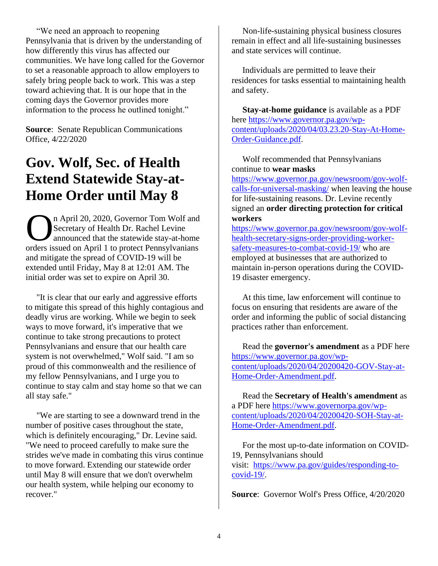"We need an approach to reopening Pennsylvania that is driven by the understanding of how differently this virus has affected our communities. We have long called for the Governor to set a reasonable approach to allow employers to safely bring people back to work. This was a step toward achieving that. It is our hope that in the coming days the Governor provides more information to the process he outlined tonight."

**Source**: Senate Republican Communications Office, 4/22/2020

### **Gov. Wolf, Sec. of Health Extend Statewide Stay-at-Home Order until May 8**

n April 20, 2020, Governor Tom Wolf and Secretary of Health Dr. Rachel Levine announced that the statewide stay-at-home n April 20, 2020, Governor Tom Wolf and<br>Secretary of Health Dr. Rachel Levine<br>announced that the statewide stay-at-home<br>orders issued on April 1 to protect Pennsylvanians and mitigate the spread of COVID-19 will be extended until Friday, May 8 at 12:01 AM. The initial order was set to expire on April 30.

 "It is clear that our early and aggressive efforts to mitigate this spread of this highly contagious and deadly virus are working. While we begin to seek ways to move forward, it's imperative that we continue to take strong precautions to protect Pennsylvanians and ensure that our health care system is not overwhelmed," Wolf said. "I am so proud of this commonwealth and the resilience of my fellow Pennsylvanians, and I urge you to continue to stay calm and stay home so that we can all stay safe."

 "We are starting to see a downward trend in the number of positive cases throughout the state, which is definitely encouraging," Dr. Levine said. "We need to proceed carefully to make sure the strides we've made in combating this virus continue to move forward. Extending our statewide order until May 8 will ensure that we don't overwhelm our health system, while helping our economy to recover."

 Non-life-sustaining physical business closures remain in effect and all life-sustaining businesses and state services will continue.

 Individuals are permitted to leave their residences for tasks essential to maintaining health and safety.

 **Stay-at-home guidance** is available as a PDF here [https://www.governor.pa.gov/wp](https://www.governor.pa.gov/wp-content/uploads/2020/04/03.23.20-Stay-At-Home-Order-Guidance.pdf)[content/uploads/2020/04/03.23.20-Stay-At-Home-](https://www.governor.pa.gov/wp-content/uploads/2020/04/03.23.20-Stay-At-Home-Order-Guidance.pdf)[Order-Guidance.pdf.](https://www.governor.pa.gov/wp-content/uploads/2020/04/03.23.20-Stay-At-Home-Order-Guidance.pdf)

 Wolf recommended that Pennsylvanians continue to **wear masks**

[https://www.governor.pa.gov/newsroom/gov-wolf](https://www.governor.pa.gov/newsroom/gov-wolf-calls-for-universal-masking/)[calls-for-universal-masking/](https://www.governor.pa.gov/newsroom/gov-wolf-calls-for-universal-masking/) when leaving the house for life-sustaining reasons. Dr. Levine recently signed an **order directing protection for critical workers**

[https://www.governor.pa.gov/newsroom/gov-wolf](https://www.governor.pa.gov/newsroom/gov-wolf-health-secretary-signs-order-providing-worker-safety-measures-to-combat-covid-19/)[health-secretary-signs-order-providing-worker](https://www.governor.pa.gov/newsroom/gov-wolf-health-secretary-signs-order-providing-worker-safety-measures-to-combat-covid-19/)[safety-measures-to-combat-covid-19/](https://www.governor.pa.gov/newsroom/gov-wolf-health-secretary-signs-order-providing-worker-safety-measures-to-combat-covid-19/) who are employed at businesses that are authorized to maintain in-person operations during the COVID-19 disaster emergency.

 At this time, law enforcement will continue to focus on ensuring that residents are aware of the order and informing the public of social distancing practices rather than enforcement.

 Read the **governor's amendment** as a PDF here [https://www.governor.pa.gov/wp](https://www.governor.pa.gov/wp-content/uploads/2020/04/20200420-GOV-Stay-at-Home-Order-Amendment.pdf)[content/uploads/2020/04/20200420-GOV-Stay-at-](https://www.governor.pa.gov/wp-content/uploads/2020/04/20200420-GOV-Stay-at-Home-Order-Amendment.pdf)[Home-Order-Amendment.pdf.](https://www.governor.pa.gov/wp-content/uploads/2020/04/20200420-GOV-Stay-at-Home-Order-Amendment.pdf)

 Read the **Secretary of Health's amendment** as a PDF here [https://www.governorpa.gov/wp](https://www.governorpa.gov/wp-content/uploads/2020/04/20200420-SOH-Stay-at-Home-Order-Amendment.pdf)[content/uploads/2020/04/20200420-SOH-Stay-at-](https://www.governorpa.gov/wp-content/uploads/2020/04/20200420-SOH-Stay-at-Home-Order-Amendment.pdf)[Home-Order-Amendment.pdf.](https://www.governorpa.gov/wp-content/uploads/2020/04/20200420-SOH-Stay-at-Home-Order-Amendment.pdf)

 For the most up-to-date information on COVID-19, Pennsylvanians should visit: [https://www.pa.gov/guides/responding-to](https://www.pa.gov/guides/responding-to-covid-19/)[covid-19/.](https://www.pa.gov/guides/responding-to-covid-19/)

**Source**: Governor Wolf's Press Office, 4/20/2020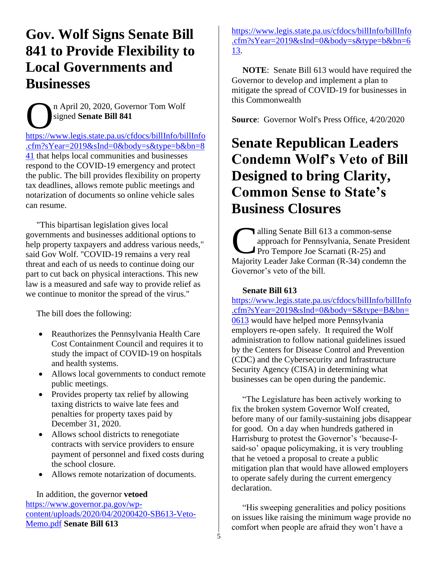### **Gov. Wolf Signs Senate Bill 841 to Provide Flexibility to Local Governments and Businesses**

n April 20, 2020, Governor Tom Wolf signed **Senate Bill 841** n April 20, 2020, Governor Tom Wolf<br>
signed Senate Bill 841<br> [https://www.legis.state.pa.us/cfdocs/billInfo/billInfo](https://www.legis.state.pa.us/cfdocs/billInfo/billInfo.cfm?sYear=2019&sInd=0&body=s&type=b&bn=841)

[.cfm?sYear=2019&sInd=0&body=s&type=b&bn=8](https://www.legis.state.pa.us/cfdocs/billInfo/billInfo.cfm?sYear=2019&sInd=0&body=s&type=b&bn=841) [41](https://www.legis.state.pa.us/cfdocs/billInfo/billInfo.cfm?sYear=2019&sInd=0&body=s&type=b&bn=841) that helps local communities and businesses respond to the COVID-19 emergency and protect the public. The bill provides flexibility on property tax deadlines, allows remote public meetings and notarization of documents so online vehicle sales can resume.

 "This bipartisan legislation gives local governments and businesses additional options to help property taxpayers and address various needs," said Gov Wolf. "COVID-19 remains a very real threat and each of us needs to continue doing our part to cut back on physical interactions. This new law is a measured and safe way to provide relief as we continue to monitor the spread of the virus."

The bill does the following:

- Reauthorizes the Pennsylvania Health Care Cost Containment Council and requires it to study the impact of COVID-19 on hospitals and health systems.
- Allows local governments to conduct remote public meetings.
- Provides property tax relief by allowing taxing districts to waive late fees and penalties for property taxes paid by December 31, 2020.
- Allows school districts to renegotiate contracts with service providers to ensure payment of personnel and fixed costs during the school closure.
- Allows remote notarization of documents.

 In addition, the governor **vetoed** [https://www.governor.pa.gov/wp](https://www.governor.pa.gov/wp-content/uploads/2020/04/20200420-SB613-Veto-Memo.pdf)[content/uploads/2020/04/20200420-SB613-Veto-](https://www.governor.pa.gov/wp-content/uploads/2020/04/20200420-SB613-Veto-Memo.pdf)[Memo.pdf](https://www.governor.pa.gov/wp-content/uploads/2020/04/20200420-SB613-Veto-Memo.pdf) **Senate Bill 613**

[https://www.legis.state.pa.us/cfdocs/billInfo/billInfo](https://www.legis.state.pa.us/cfdocs/billInfo/billInfo.cfm?sYear=2019&sInd=0&body=s&type=b&bn=613) [.cfm?sYear=2019&sInd=0&body=s&type=b&bn=6](https://www.legis.state.pa.us/cfdocs/billInfo/billInfo.cfm?sYear=2019&sInd=0&body=s&type=b&bn=613) [13.](https://www.legis.state.pa.us/cfdocs/billInfo/billInfo.cfm?sYear=2019&sInd=0&body=s&type=b&bn=613)

 **NOTE**: Senate Bill 613 would have required the Governor to develop and implement a plan to mitigate the spread of COVID-19 for businesses in this Commonwealth

**Source**: Governor Wolf's Press Office, 4/20/2020

### **Senate Republican Leaders Condemn Wolf's Veto of Bill Designed to bring Clarity, Common Sense to State's Business Closures**

alling Senate Bill 613 a common-sense approach for Pennsylvania, Senate President Pro Tempore Joe Scarnati  $(R-25)$  and alling Senate Bill 613 a common-sense<br>approach for Pennsylvania, Senate Presiden<br>Pro Tempore Joe Scarnati (R-25) and<br>Majority Leader Jake Corman (R-34) condemn the Governor's veto of the bill.

#### **Senate Bill 613**

[https://www.legis.state.pa.us/cfdocs/billInfo/billInfo](https://www.legis.state.pa.us/cfdocs/billInfo/billInfo.cfm?sYear=2019&sInd=0&body=S&type=B&bn=0613) [.cfm?sYear=2019&sInd=0&body=S&type=B&bn=](https://www.legis.state.pa.us/cfdocs/billInfo/billInfo.cfm?sYear=2019&sInd=0&body=S&type=B&bn=0613) [0613](https://www.legis.state.pa.us/cfdocs/billInfo/billInfo.cfm?sYear=2019&sInd=0&body=S&type=B&bn=0613) would have helped more Pennsylvania employers re-open safely. It required the Wolf administration to follow national guidelines issued by the Centers for Disease Control and Prevention (CDC) and the Cybersecurity and Infrastructure Security Agency (CISA) in determining what businesses can be open during the pandemic.

 "The Legislature has been actively working to fix the broken system Governor Wolf created, before many of our family-sustaining jobs disappear for good. On a day when hundreds gathered in Harrisburg to protest the Governor's 'because-Isaid-so' opaque policymaking, it is very troubling that he vetoed a proposal to create a public mitigation plan that would have allowed employers to operate safely during the current emergency declaration.

 "His sweeping generalities and policy positions on issues like raising the minimum wage provide no comfort when people are afraid they won't have a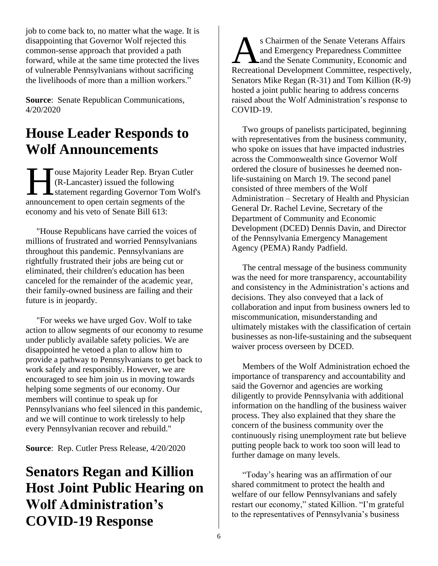job to come back to, no matter what the wage. It is disappointing that Governor Wolf rejected this common-sense approach that provided a path forward, while at the same time protected the lives of vulnerable Pennsylvanians without sacrificing the livelihoods of more than a million workers."

**Source**: Senate Republican Communications, 4/20/2020

### **House Leader Responds to Wolf Announcements**

ouse Majority Leader Rep. Bryan Cutler (R-Lancaster) issued the following statement regarding Governor Tom Wolf's Touse Majority Leader Rep. Bryan Cutl<br>
(R-Lancaster) issued the following<br>
statement regarding Governor Tom We<br>
announcement to open certain segments of the economy and his veto of Senate Bill 613:

 "House Republicans have carried the voices of millions of frustrated and worried Pennsylvanians throughout this pandemic. Pennsylvanians are rightfully frustrated their jobs are being cut or eliminated, their children's education has been canceled for the remainder of the academic year, their family-owned business are failing and their future is in jeopardy.

 "For weeks we have urged Gov. Wolf to take action to allow segments of our economy to resume under publicly available safety policies. We are disappointed he vetoed a plan to allow him to provide a pathway to Pennsylvanians to get back to work safely and responsibly. However, we are encouraged to see him join us in moving towards helping some segments of our economy. Our members will continue to speak up for Pennsylvanians who feel silenced in this pandemic, and we will continue to work tirelessly to help every Pennsylvanian recover and rebuild."

**Source**: Rep. Cutler Press Release, 4/20/2020

### **Senators Regan and Killion Host Joint Public Hearing on Wolf Administration's COVID-19 Response**

s Chairmen of the Senate Veterans Affairs and Emergency Preparedness Committee **L** and the Senate Community, Economic and Sa Chairmen of the Senate Veterans Affairs<br>
and Emergency Preparedness Committee<br>
Recreational Development Committee, respectively, Senators Mike Regan (R-31) and Tom Killion (R-9) hosted a joint public hearing to address concerns raised about the Wolf Administration's response to COVID-19.

 Two groups of panelists participated, beginning with representatives from the business community, who spoke on issues that have impacted industries across the Commonwealth since Governor Wolf ordered the closure of businesses he deemed nonlife-sustaining on March 19. The second panel consisted of three members of the Wolf Administration – Secretary of Health and Physician General Dr. Rachel Levine, Secretary of the Department of Community and Economic Development (DCED) Dennis Davin, and Director of the Pennsylvania Emergency Management Agency (PEMA) Randy Padfield.

 The central message of the business community was the need for more transparency, accountability and consistency in the Administration's actions and decisions. They also conveyed that a lack of collaboration and input from business owners led to miscommunication, misunderstanding and ultimately mistakes with the classification of certain businesses as non-life-sustaining and the subsequent waiver process overseen by DCED.

 Members of the Wolf Administration echoed the importance of transparency and accountability and said the Governor and agencies are working diligently to provide Pennsylvania with additional information on the handling of the business waiver process. They also explained that they share the concern of the business community over the continuously rising unemployment rate but believe putting people back to work too soon will lead to further damage on many levels.

 "Today's hearing was an affirmation of our shared commitment to protect the health and welfare of our fellow Pennsylvanians and safely restart our economy," stated Killion. "I'm grateful to the representatives of Pennsylvania's business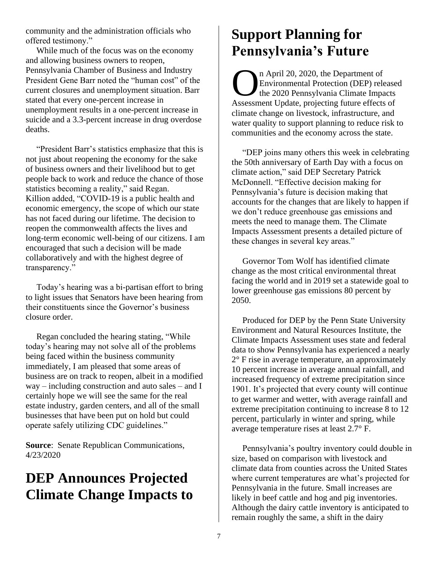community and the administration officials who offered testimony."

 While much of the focus was on the economy and allowing business owners to reopen, Pennsylvania Chamber of Business and Industry President Gene Barr noted the "human cost" of the current closures and unemployment situation. Barr stated that every one-percent increase in unemployment results in a one-percent increase in suicide and a 3.3-percent increase in drug overdose deaths.

 "President Barr's statistics emphasize that this is not just about reopening the economy for the sake of business owners and their livelihood but to get people back to work and reduce the chance of those statistics becoming a reality," said Regan. Killion added, "COVID-19 is a public health and economic emergency, the scope of which our state has not faced during our lifetime. The decision to reopen the commonwealth affects the lives and long-term economic well-being of our citizens. I am encouraged that such a decision will be made collaboratively and with the highest degree of transparency."

 Today's hearing was a bi-partisan effort to bring to light issues that Senators have been hearing from their constituents since the Governor's business closure order.

 Regan concluded the hearing stating, "While today's hearing may not solve all of the problems being faced within the business community immediately, I am pleased that some areas of business are on track to reopen, albeit in a modified way – including construction and auto sales – and I certainly hope we will see the same for the real estate industry, garden centers, and all of the small businesses that have been put on hold but could operate safely utilizing CDC guidelines."

**Source**: Senate Republican Communications, 4/23/2020

### **DEP Announces Projected Climate Change Impacts to**

### **Support Planning for Pennsylvania's Future**

n April 20, 2020, the Department of Environmental Protection (DEP) released the 2020 Pennsylvania Climate Impacts n April 20, 2020, the Department of<br>Environmental Protection (DEP) release<br>the 2020 Pennsylvania Climate Impacts<br>Assessment Update, projecting future effects of climate change on livestock, infrastructure, and water quality to support planning to reduce risk to communities and the economy across the state.

 "DEP joins many others this week in celebrating the 50th anniversary of Earth Day with a focus on climate action," said DEP Secretary Patrick McDonnell. "Effective decision making for Pennsylvania's future is decision making that accounts for the changes that are likely to happen if we don't reduce greenhouse gas emissions and meets the need to manage them. The Climate Impacts Assessment presents a detailed picture of these changes in several key areas."

 Governor Tom Wolf has identified climate change as the most critical environmental threat facing the world and in 2019 set a statewide goal to lower greenhouse gas emissions 80 percent by 2050.

 Produced for DEP by the Penn State University Environment and Natural Resources Institute, the Climate Impacts Assessment uses state and federal data to show Pennsylvania has experienced a nearly 2° F rise in average temperature, an approximately 10 percent increase in average annual rainfall, and increased frequency of extreme precipitation since 1901. It's projected that every county will continue to get warmer and wetter, with average rainfall and extreme precipitation continuing to increase 8 to 12 percent, particularly in winter and spring, while average temperature rises at least 2.7° F.

 Pennsylvania's poultry inventory could double in size, based on comparison with livestock and climate data from counties across the United States where current temperatures are what's projected for Pennsylvania in the future. Small increases are likely in beef cattle and hog and pig inventories. Although the dairy cattle inventory is anticipated to remain roughly the same, a shift in the dairy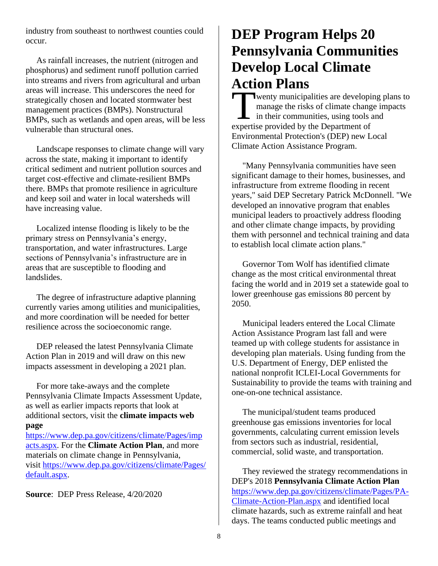industry from southeast to northwest counties could occur.

 As rainfall increases, the nutrient (nitrogen and phosphorus) and sediment runoff pollution carried into streams and rivers from agricultural and urban areas will increase. This underscores the need for strategically chosen and located stormwater best management practices (BMPs). Nonstructural BMPs, such as wetlands and open areas, will be less vulnerable than structural ones.

 Landscape responses to climate change will vary across the state, making it important to identify critical sediment and nutrient pollution sources and target cost-effective and climate-resilient BMPs there. BMPs that promote resilience in agriculture and keep soil and water in local watersheds will have increasing value.

 Localized intense flooding is likely to be the primary stress on Pennsylvania's energy, transportation, and water infrastructures. Large sections of Pennsylvania's infrastructure are in areas that are susceptible to flooding and landslides.

 The degree of infrastructure adaptive planning currently varies among utilities and municipalities, and more coordination will be needed for better resilience across the socioeconomic range.

 DEP released the latest Pennsylvania Climate Action Plan in 2019 and will draw on this new impacts assessment in developing a 2021 plan.

 For more take-aways and the complete Pennsylvania Climate Impacts Assessment Update, as well as earlier impacts reports that look at additional sectors, visit the **climate impacts web page**

[https://www.dep.pa.gov/citizens/climate/Pages/imp](https://www.dep.pa.gov/citizens/climate/Pages/impacts.aspx) [acts.aspx.](https://www.dep.pa.gov/citizens/climate/Pages/impacts.aspx) For the **Climate Action Plan**, and more materials on climate change in Pennsylvania, visit [https://www.dep.pa.gov/citizens/climate/Pages/](https://www.dep.pa.gov/citizens/climate/Pages/default.aspx) [default.aspx.](https://www.dep.pa.gov/citizens/climate/Pages/default.aspx)

**Source**: DEP Press Release, 4/20/2020

### **DEP Program Helps 20 Pennsylvania Communities Develop Local Climate Action Plans**

wenty municipalities are developing plans to manage the risks of climate change impacts in their communities, using tools and wenty municipalities are developi<br>
manage the risks of climate chang<br>
in their communities, using tools a<br>
expertise provided by the Department of Environmental Protection's (DEP) new Local Climate Action Assistance Program.

 "Many Pennsylvania communities have seen significant damage to their homes, businesses, and infrastructure from extreme flooding in recent years," said DEP Secretary Patrick McDonnell. "We developed an innovative program that enables municipal leaders to proactively address flooding and other climate change impacts, by providing them with personnel and technical training and data to establish local climate action plans."

 Governor Tom Wolf has identified climate change as the most critical environmental threat facing the world and in 2019 set a statewide goal to lower greenhouse gas emissions 80 percent by 2050.

 Municipal leaders entered the Local Climate Action Assistance Program last fall and were teamed up with college students for assistance in developing plan materials. Using funding from the U.S. Department of Energy, DEP enlisted the national nonprofit ICLEI-Local Governments for Sustainability to provide the teams with training and one-on-one technical assistance.

 The municipal/student teams produced greenhouse gas emissions inventories for local governments, calculating current emission levels from sectors such as industrial, residential, commercial, solid waste, and transportation.

 They reviewed the strategy recommendations in DEP's 2018 **Pennsylvania Climate Action Plan** [https://www.dep.pa.gov/citizens/climate/Pages/PA-](https://www.dep.pa.gov/citizens/climate/Pages/PA-Climate-Action-Plan.aspx)[Climate-Action-Plan.aspx](https://www.dep.pa.gov/citizens/climate/Pages/PA-Climate-Action-Plan.aspx) and identified local climate hazards, such as extreme rainfall and heat days. The teams conducted public meetings and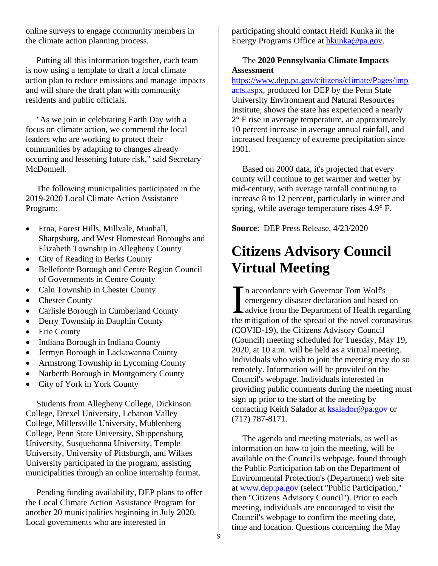online surveys to engage community members in the climate action planning process.

 Putting all this information together, each team is now using a template to draft a local climate action plan to reduce emissions and manage impacts and will share the draft plan with community residents and public officials.

 "As we join in celebrating Earth Day with a focus on climate action, we commend the local leaders who are working to protect their communities by adapting to changes already occurring and lessening future risk," said Secretary McDonnell.

 The following municipalities participated in the 2019-2020 Local Climate Action Assistance Program:

- Etna, Forest Hills, Millvale, Munhall, Sharpsburg, and West Homestead Boroughs and Elizabeth Township in Allegheny County
- City of Reading in Berks County
- Bellefonte Borough and Centre Region Council of Governments in Centre County
- Caln Township in Chester County
- Chester County
- Carlisle Borough in Cumberland County
- Derry Township in Dauphin County
- Erie County
- Indiana Borough in Indiana County
- Jermyn Borough in Lackawanna County
- Armstrong Township in Lycoming County
- Narberth Borough in Montgomery County
- City of York in York County

 Students from Allegheny College, Dickinson College, Drexel University, Lebanon Valley College, Millersville University, Muhlenberg College, Penn State University, Shippensburg University, Susquehanna University, Temple University, University of Pittsburgh, and Wilkes University participated in the program, assisting municipalities through an online internship format.

 Pending funding availability, DEP plans to offer the Local Climate Action Assistance Program for another 20 municipalities beginning in July 2020. Local governments who are interested in

participating should contact Heidi Kunka in the Energy Programs Office at [hkunka@pa.gov.](mailto:hkunka@pa.gov)

#### The **2020 Pennsylvania Climate Impacts Assessment**

[https://www.dep.pa.gov/citizens/climate/Pages/imp](https://www.dep.pa.gov/citizens/climate/Pages/impacts.aspx) [acts.aspx,](https://www.dep.pa.gov/citizens/climate/Pages/impacts.aspx) produced for DEP by the Penn State University Environment and Natural Resources Institute, shows the state has experienced a nearly 2° F rise in average temperature, an approximately 10 percent increase in average annual rainfall, and increased frequency of extreme precipitation since 1901.

 Based on 2000 data, it's projected that every county will continue to get warmer and wetter by mid-century, with average rainfall continuing to increase 8 to 12 percent, particularly in winter and spring, while average temperature rises 4.9° F.

**Source**: DEP Press Release, 4/23/2020

### **Citizens Advisory Council Virtual Meeting**

n accordance with Governor Tom Wolf's emergency disaster declaration and based on advice from the Department of Health regarding the mitigation of the spread of the novel coronavirus (COVID-19), the Citizens Advisory Council (Council) meeting scheduled for Tuesday, May 19, 2020, at 10 a.m. will be held as a virtual meeting. Individuals who wish to join the meeting may do so remotely. Information will be provided on the Council's webpage. Individuals interested in providing public comments during the meeting must sign up prior to the start of the meeting by contacting Keith Salador at [ksalador@pa.gov](mailto:ksalador@pa.gov) or (717) 787-8171. I

 The agenda and meeting materials, as well as information on how to join the meeting, will be available on the Council's webpage, found through the Public Participation tab on the Department of Environmental Protection's (Department) web site at [www.dep.pa.gov](http://www.dep.pa.gov/) (select ''Public Participation,'' then ''Citizens Advisory Council''). Prior to each meeting, individuals are encouraged to visit the Council's webpage to confirm the meeting date, time and location. Questions concerning the May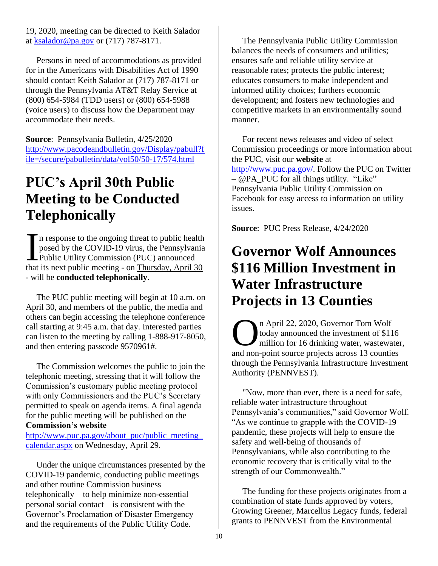19, 2020, meeting can be directed to Keith Salador at [ksalador@pa.gov](mailto:ksalador@pa.gov) or (717) 787-8171.

 Persons in need of accommodations as provided for in the Americans with Disabilities Act of 1990 should contact Keith Salador at (717) 787-8171 or through the Pennsylvania AT&T Relay Service at (800) 654-5984 (TDD users) or (800) 654-5988 (voice users) to discuss how the Department may accommodate their needs.

**Source**: Pennsylvania Bulletin, 4/25/2020 [http://www.pacodeandbulletin.gov/Display/pabull?f](http://www.pacodeandbulletin.gov/Display/pabull?file=/secure/pabulletin/data/vol50/50-17/574.html) [ile=/secure/pabulletin/data/vol50/50-17/574.html](http://www.pacodeandbulletin.gov/Display/pabull?file=/secure/pabulletin/data/vol50/50-17/574.html)

### **PUC's April 30th Public Meeting to be Conducted Telephonically**

If it response to the ongoing threat to public health posed by the COVID-19 virus, the Pennsylvania Public Utility Commission (PUC) announced that its next public meeting - on Thursday, April 30 - will be **conducted telephonically**. I

 The PUC public meeting will begin at 10 a.m. on April 30, and members of the public, the media and others can begin accessing the telephone conference call starting at 9:45 a.m. that day. Interested parties can listen to the meeting by calling 1-888-917-8050, and then entering passcode 9570961#.

 The Commission welcomes the public to join the telephonic meeting, stressing that it will follow the Commission's customary public meeting protocol with only Commissioners and the PUC's Secretary permitted to speak on agenda items. A final agenda for the public meeting will be published on the **Commission's website**

[http://www.puc.pa.gov/about\\_puc/public\\_meeting\\_](http://www.puc.pa.gov/about_puc/public_meeting_calendar.aspx) [calendar.aspx](http://www.puc.pa.gov/about_puc/public_meeting_calendar.aspx) on Wednesday, April 29.

 Under the unique circumstances presented by the COVID-19 pandemic, conducting public meetings and other routine Commission business telephonically – to help minimize non-essential personal social contact – is consistent with the Governor's Proclamation of Disaster Emergency and the requirements of the Public Utility Code.

 The Pennsylvania Public Utility Commission balances the needs of consumers and utilities; ensures safe and reliable utility service at reasonable rates; protects the public interest; educates consumers to make independent and informed utility choices; furthers economic development; and fosters new technologies and competitive markets in an environmentally sound manner.

 For recent news releases and video of select Commission proceedings or more information about the PUC, visit our **website** at [http://www.puc.pa.gov/.](http://www.puc.pa.gov/) Follow the PUC on Twitter  $-$  @PA\_PUC for all things utility. "Like" Pennsylvania Public Utility Commission on Facebook for easy access to information on utility issues.

**Source**: PUC Press Release, 4/24/2020

### **Governor Wolf Announces \$116 Million Investment in Water Infrastructure Projects in 13 Counties**

n April 22, 2020, Governor Tom Wolf today announced the investment of \$116 million for 16 drinking water, wastewater, **1** April 22, 2020, Governor Tom Wolf today announced the investment of \$116 million for 16 drinking water, wastewater and non-point source projects across 13 counties through the Pennsylvania Infrastructure Investment Authority (PENNVEST).

 "Now, more than ever, there is a need for safe, reliable water infrastructure throughout Pennsylvania's communities," said Governor Wolf. "As we continue to grapple with the COVID-19 pandemic, these projects will help to ensure the safety and well-being of thousands of Pennsylvanians, while also contributing to the economic recovery that is critically vital to the strength of our Commonwealth."

 The funding for these projects originates from a combination of state funds approved by voters, Growing Greener, Marcellus Legacy funds, federal grants to PENNVEST from the Environmental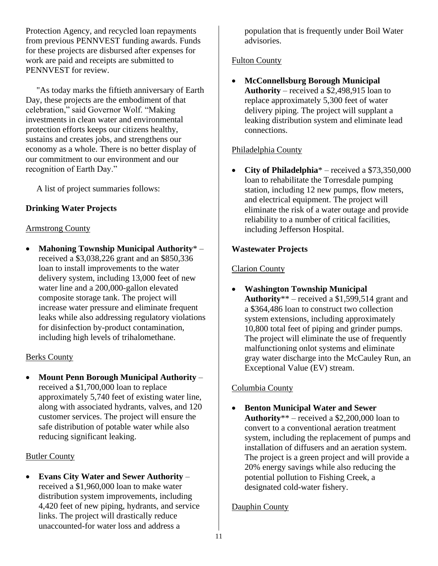Protection Agency, and recycled loan repayments from previous PENNVEST funding awards. Funds for these projects are disbursed after expenses for work are paid and receipts are submitted to PENNVEST for review.

 "As today marks the fiftieth anniversary of Earth Day, these projects are the embodiment of that celebration," said Governor Wolf. "Making investments in clean water and environmental protection efforts keeps our citizens healthy, sustains and creates jobs, and strengthens our economy as a whole. There is no better display of our commitment to our environment and our recognition of Earth Day."

A list of project summaries follows:

### **Drinking Water Projects**

#### Armstrong County

• **Mahoning Township Municipal Authority**\* – received a \$3,038,226 grant and an \$850,336 loan to install improvements to the water delivery system, including 13,000 feet of new water line and a 200,000-gallon elevated composite storage tank. The project will increase water pressure and eliminate frequent leaks while also addressing regulatory violations for disinfection by-product contamination, including high levels of trihalomethane.

#### Berks County

• **Mount Penn Borough Municipal Authority** – received a \$1,700,000 loan to replace approximately 5,740 feet of existing water line, along with associated hydrants, valves, and 120 customer services. The project will ensure the safe distribution of potable water while also reducing significant leaking.

#### Butler County

• **Evans City Water and Sewer Authority** – received a \$1,960,000 loan to make water distribution system improvements, including 4,420 feet of new piping, hydrants, and service links. The project will drastically reduce unaccounted-for water loss and address a

population that is frequently under Boil Water advisories.

### Fulton County

• **McConnellsburg Borough Municipal Authority** – received a \$2,498,915 loan to replace approximately 5,300 feet of water delivery piping. The project will supplant a leaking distribution system and eliminate lead connections.

### Philadelphia County

• **City of Philadelphia**\* – received a \$73,350,000 loan to rehabilitate the Torresdale pumping station, including 12 new pumps, flow meters, and electrical equipment. The project will eliminate the risk of a water outage and provide reliability to a number of critical facilities, including Jefferson Hospital.

### **Wastewater Projects**

### Clarion County

• **Washington Township Municipal Authority**\*\* – received a \$1,599,514 grant and a \$364,486 loan to construct two collection system extensions, including approximately 10,800 total feet of piping and grinder pumps. The project will eliminate the use of frequently malfunctioning onlot systems and eliminate gray water discharge into the McCauley Run, an Exceptional Value (EV) stream.

### Columbia County

• **Benton Municipal Water and Sewer Authority**\*\* – received a \$2,200,000 loan to convert to a conventional aeration treatment system, including the replacement of pumps and installation of diffusers and an aeration system. The project is a green project and will provide a 20% energy savings while also reducing the potential pollution to Fishing Creek, a designated cold-water fishery.

#### Dauphin County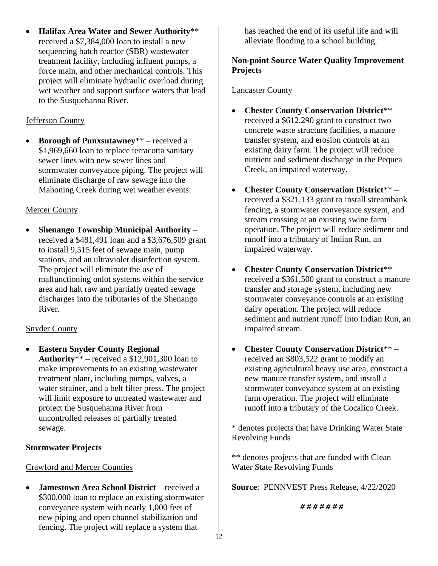• **Halifax Area Water and Sewer Authority**\*\* – received a \$7,384,000 loan to install a new sequencing batch reactor (SBR) wastewater treatment facility, including influent pumps, a force main, and other mechanical controls. This project will eliminate hydraulic overload during wet weather and support surface waters that lead to the Susquehanna River.

### Jefferson County

• **Borough of Punxsutawney**\*\* – received a \$1,969,660 loan to replace terracotta sanitary sewer lines with new sewer lines and stormwater conveyance piping. The project will eliminate discharge of raw sewage into the Mahoning Creek during wet weather events.

### Mercer County

• **Shenango Township Municipal Authority** – received a \$481,491 loan and a \$3,676,509 grant to install 9,515 feet of sewage main, pump stations, and an ultraviolet disinfection system. The project will eliminate the use of malfunctioning onlot systems within the service area and halt raw and partially treated sewage discharges into the tributaries of the Shenango River.

### Snyder County

• **Eastern Snyder County Regional Authority**\*\* – received a \$12,901,300 loan to make improvements to an existing wastewater treatment plant, including pumps, valves, a water strainer, and a belt filter press. The project will limit exposure to untreated wastewater and protect the Susquehanna River from uncontrolled releases of partially treated sewage.

#### **Stormwater Projects**

#### Crawford and Mercer Counties

• **Jamestown Area School District** – received a \$300,000 loan to replace an existing stormwater conveyance system with nearly 1,000 feet of new piping and open channel stabilization and fencing. The project will replace a system that

has reached the end of its useful life and will alleviate flooding to a school building.

### **Non-point Source Water Quality Improvement Projects**

#### Lancaster County

- **Chester County Conservation District**\*\* received a \$612,290 grant to construct two concrete waste structure facilities, a manure transfer system, and erosion controls at an existing dairy farm. The project will reduce nutrient and sediment discharge in the Pequea Creek, an impaired waterway.
- **Chester County Conservation District**\*\* received a \$321,133 grant to install streambank fencing, a stormwater conveyance system, and stream crossing at an existing swine farm operation. The project will reduce sediment and runoff into a tributary of Indian Run, an impaired waterway.
- **Chester County Conservation District**\*\* received a \$361,500 grant to construct a manure transfer and storage system, including new stormwater conveyance controls at an existing dairy operation. The project will reduce sediment and nutrient runoff into Indian Run, an impaired stream.
- **Chester County Conservation District**\*\* received an \$803,522 grant to modify an existing agricultural heavy use area, construct a new manure transfer system, and install a stormwater conveyance system at an existing farm operation. The project will eliminate runoff into a tributary of the Cocalico Creek.

\* denotes projects that have Drinking Water State Revolving Funds

\*\* denotes projects that are funded with Clean Water State Revolving Funds

**Source**: PENNVEST Press Release, 4/22/2020

*# # # # # # #*